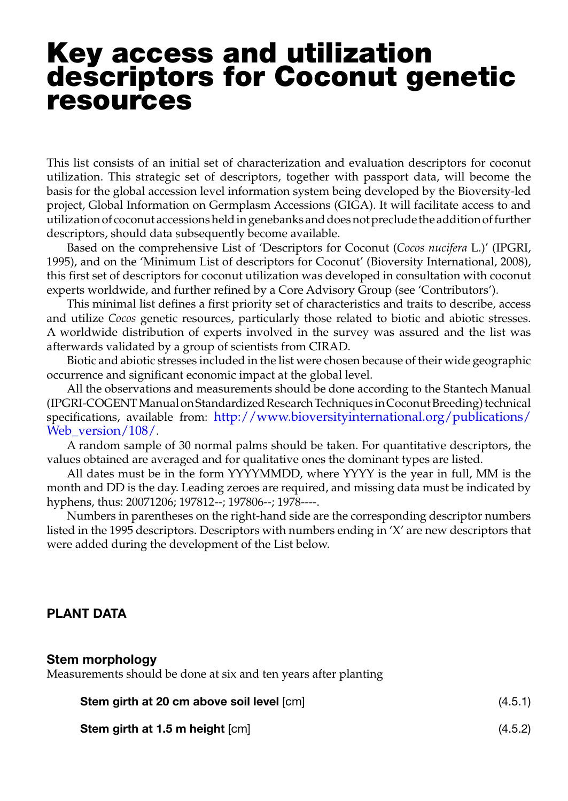# Key access and utilization descriptors for Coconut genetic resources

This list consists of an initial set of characterization and evaluation descriptors for coconut utilization. This strategic set of descriptors, together with passport data, will become the basis for the global accession level information system being developed by the Bioversity-led project, Global Information on Germplasm Accessions (GIGA). It will facilitate access to and utilization of coconut accessions held in genebanks and does not preclude the addition of further descriptors, should data subsequently become available.

Based on the comprehensive List of 'Descriptors for Coconut (*Cocos nucifera* L.)' (IPGRI, 1995), and on the 'Minimum List of descriptors for Coconut' (Bioversity International, 2008), this first set of descriptors for coconut utilization was developed in consultation with coconut experts worldwide, and further refined by a Core Advisory Group (see 'Contributors').

This minimal list defines a first priority set of characteristics and traits to describe, access and utilize *Cocos* genetic resources, particularly those related to biotic and abiotic stresses. A worldwide distribution of experts involved in the survey was assured and the list was afterwards validated by a group of scientists from CIRAD.

Biotic and abiotic stresses included in the list were chosen because of their wide geographic occurrence and significant economic impact at the global level.

All the observations and measurements should be done according to the Stantech Manual (IPGRI-COGENT Manual on Standardized Research Techniques in Coconut Breeding) technical specifications, available from: http://www.bioversityinternational.org/publications/ Web version/108/.

A random sample of 30 normal palms should be taken. For quantitative descriptors, the values obtained are averaged and for qualitative ones the dominant types are listed.

All dates must be in the form YYYYMMDD, where YYYY is the year in full, MM is the month and DD is the day. Leading zeroes are required, and missing data must be indicated by hyphens, thus: 20071206; 197812--; 197806--; 1978----.

Numbers in parentheses on the right-hand side are the corresponding descriptor numbers listed in the 1995 descriptors. Descriptors with numbers ending in 'X' are new descriptors that were added during the development of the List below.

# PLANT DATA

#### Stem morphology

Measurements should be done at six and ten years after planting

| <b>Stem girth at 20 cm above soil level [cm]</b> | (4.5.1) |
|--------------------------------------------------|---------|
| <b>Stem girth at 1.5 m height [cm]</b>           | (4.5.2) |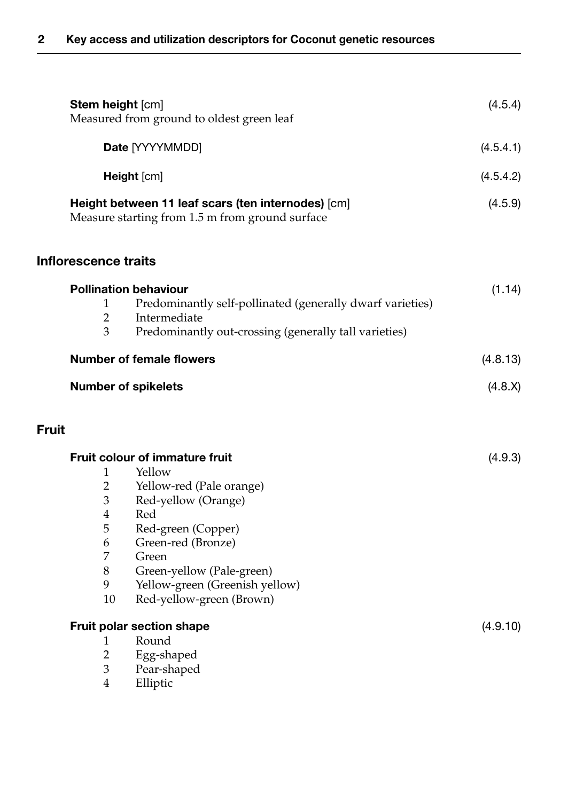| Stem height [cm]                                                                                        | Measured from ground to oldest green leaf                                                                                                                                                                                                          | (4.5.4)   |
|---------------------------------------------------------------------------------------------------------|----------------------------------------------------------------------------------------------------------------------------------------------------------------------------------------------------------------------------------------------------|-----------|
|                                                                                                         | Date [YYYYMMDD]                                                                                                                                                                                                                                    | (4.5.4.1) |
|                                                                                                         | Height [cm]                                                                                                                                                                                                                                        | (4.5.4.2) |
|                                                                                                         | Height between 11 leaf scars (ten internodes) [cm]<br>Measure starting from 1.5 m from ground surface                                                                                                                                              | (4.5.9)   |
| <b>Inflorescence traits</b>                                                                             |                                                                                                                                                                                                                                                    |           |
| 1<br>$\overline{2}$<br>3                                                                                | <b>Pollination behaviour</b><br>Predominantly self-pollinated (generally dwarf varieties)<br>Intermediate<br>Predominantly out-crossing (generally tall varieties)                                                                                 | (1.14)    |
|                                                                                                         | <b>Number of female flowers</b>                                                                                                                                                                                                                    | (4.8.13)  |
|                                                                                                         | <b>Number of spikelets</b>                                                                                                                                                                                                                         | (4.8.X)   |
| <b>Fruit</b>                                                                                            |                                                                                                                                                                                                                                                    |           |
| 1<br>$\overline{2}$<br>$\mathfrak{Z}$<br>$\overline{4}$<br>5<br>6<br>$\overline{7}$<br>$8\,$<br>9<br>10 | Fruit colour of immature fruit<br>Yellow<br>Yellow-red (Pale orange)<br>Red-yellow (Orange)<br>Red<br>Red-green (Copper)<br>Green-red (Bronze)<br>Green<br>Green-yellow (Pale-green)<br>Yellow-green (Greenish yellow)<br>Red-yellow-green (Brown) | (4.9.3)   |
| 1<br>$\overline{2}$<br>3<br>$\overline{4}$                                                              | Fruit polar section shape<br>Round<br>Egg-shaped<br>Pear-shaped<br>Elliptic                                                                                                                                                                        | (4.9.10)  |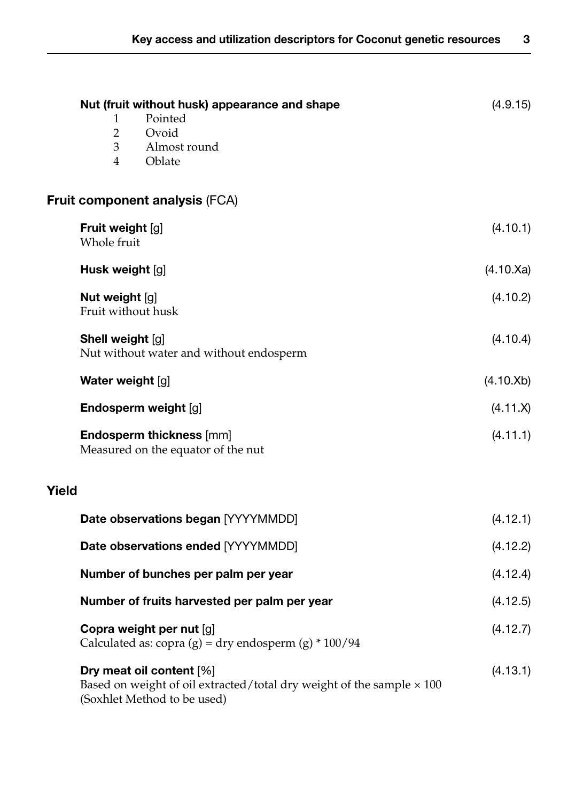| Nut (fruit without husk) appearance and shape<br>Pointed<br>1<br>$\overline{2}$<br>Ovoid<br>3<br>Almost round<br>4<br>Oblate            | (4.9.15)            |
|-----------------------------------------------------------------------------------------------------------------------------------------|---------------------|
| Fruit component analysis (FCA)                                                                                                          |                     |
| Fruit weight [g]<br>Whole fruit                                                                                                         | (4.10.1)            |
| Husk weight [g]                                                                                                                         | $(4.10 \text{ Xa})$ |
| Nut weight [g]<br>Fruit without husk                                                                                                    | (4.10.2)            |
| Shell weight [g]<br>Nut without water and without endosperm                                                                             | (4.10.4)            |
| Water weight [g]                                                                                                                        | (4.10.Xb)           |
| Endosperm weight [g]                                                                                                                    | (4.11.X)            |
| <b>Endosperm thickness [mm]</b><br>Measured on the equator of the nut                                                                   | (4.11.1)            |
| Yield                                                                                                                                   |                     |
| Date observations began [YYYYMMDD]                                                                                                      | (4.12.1)            |
| Date observations ended [YYYYMMDD]                                                                                                      | (4.12.2)            |
| Number of bunches per palm per year                                                                                                     | (4.12.4)            |
| Number of fruits harvested per palm per year                                                                                            | (4.12.5)            |
| Copra weight per nut [g]<br>Calculated as: copra $(g)$ = dry endosperm $(g)$ * 100/94                                                   | (4.12.7)            |
| Dry meat oil content [%]<br>Based on weight of oil extracted/total dry weight of the sample $\times$ 100<br>(Soxhlet Method to be used) | (4.13.1)            |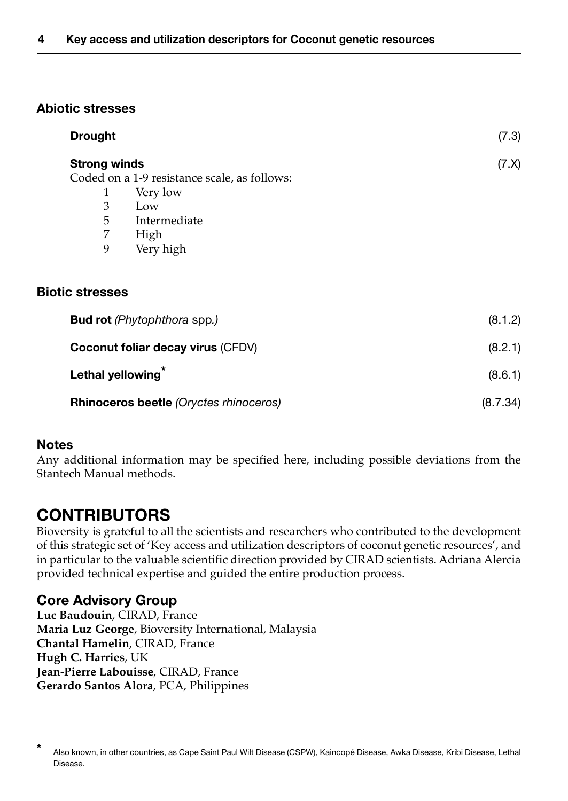# Abiotic stresses

| <b>Drought</b>                         |                                              | (7.3)    |
|----------------------------------------|----------------------------------------------|----------|
|                                        | <b>Strong winds</b>                          |          |
|                                        | Coded on a 1-9 resistance scale, as follows: |          |
| 1                                      | Very low                                     |          |
| 3                                      | Low                                          |          |
| 5                                      | Intermediate                                 |          |
| 7                                      | High                                         |          |
| 9                                      | Very high                                    |          |
| <b>Biotic stresses</b>                 |                                              |          |
|                                        | <b>Bud rot</b> (Phytophthora spp.)           |          |
|                                        | Coconut foliar decay virus (CFDV)            |          |
| Lethal yellowing                       |                                              | (8.6.1)  |
| Rhinoceros beetle (Oryctes rhinoceros) |                                              | (8.7.34) |

# Notes

Any additional information may be specified here, including possible deviations from the Stantech Manual methods.

# CONTRIBUTORS

Bioversity is grateful to all the scientists and researchers who contributed to the development of this strategic set of 'Key access and utilization descriptors of coconut genetic resources', and in particular to the valuable scientific direction provided by CIRAD scientists. Adriana Alercia provided technical expertise and guided the entire production process.

# Core Advisory Group

**Luc Baudouin**, CIRAD, France **Maria Luz George**, Bioversity International, Malaysia **Chantal Hamelin**, CIRAD, France **Hugh C. Harries**, UK **Jean-Pierre Labouisse**, CIRAD, France **Gerardo Santos Alora**, PCA, Philippines

Also known, in other countries, as Cape Saint Paul Wilt Disease (CSPW), Kaincopé Disease, Awka Disease, Kribi Disease, Lethal Disease.